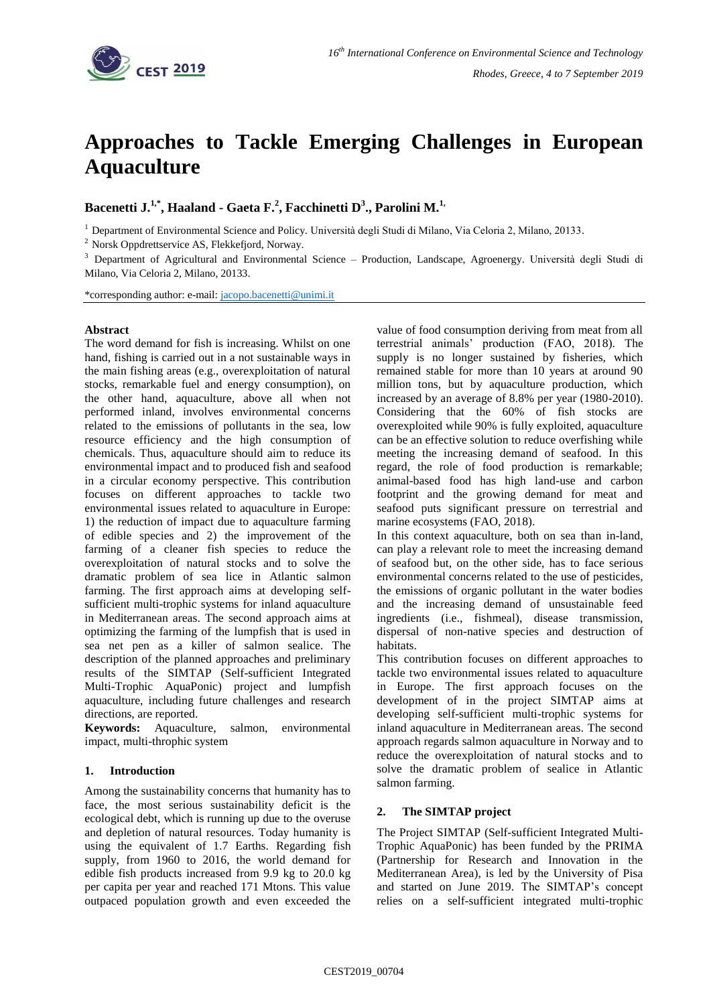

# **Approaches to Tackle Emerging Challenges in European Aquaculture**

**Bacenetti J. 1,\* , Haaland - Gaeta F. 2 , Facchinetti D<sup>3</sup> ., Parolini M. 1,**

<sup>1</sup> Department of Environmental Science and Policy. Università degli Studi di Milano, Via Celoria 2, Milano, 20133.

<sup>2</sup> Norsk Oppdrettservice AS, Flekkefjord, Norway.

<sup>3</sup> Department of Agricultural and Environmental Science – Production, Landscape, Agroenergy. Università degli Studi di Milano, Via Celoria 2, Milano, 20133.

\*corresponding author: e-mail: [jacopo.bacenetti@unimi.it](mailto:jacopo.bacenetti@unimi.it)

#### **Abstract**

The word demand for fish is increasing. Whilst on one hand, fishing is carried out in a not sustainable ways in the main fishing areas (e.g., overexploitation of natural stocks, remarkable fuel and energy consumption), on the other hand, aquaculture, above all when not performed inland, involves environmental concerns related to the emissions of pollutants in the sea, low resource efficiency and the high consumption of chemicals. Thus, aquaculture should aim to reduce its environmental impact and to produced fish and seafood in a circular economy perspective. This contribution focuses on different approaches to tackle two environmental issues related to aquaculture in Europe: 1) the reduction of impact due to aquaculture farming of edible species and 2) the improvement of the farming of a cleaner fish species to reduce the overexploitation of natural stocks and to solve the dramatic problem of sea lice in Atlantic salmon farming. The first approach aims at developing selfsufficient multi-trophic systems for inland aquaculture in Mediterranean areas. The second approach aims at optimizing the farming of the lumpfish that is used in sea net pen as a killer of salmon sealice. The description of the planned approaches and preliminary results of the SIMTAP (Self-sufficient Integrated Multi-Trophic AquaPonic) project and lumpfish aquaculture, including future challenges and research directions, are reported.

**Keywords:** Aquaculture, salmon, environmental impact, multi-throphic system

#### **1. Introduction**

Among the sustainability concerns that humanity has to face, the most serious sustainability deficit is the ecological debt, which is running up due to the overuse and depletion of natural resources. Today humanity is using the equivalent of 1.7 Earths. Regarding fish supply, from 1960 to 2016, the world demand for edible fish products increased from 9.9 kg to 20.0 kg per capita per year and reached 171 Mtons. This value outpaced population growth and even exceeded the

value of food consumption deriving from meat from all terrestrial animals' production (FAO, 2018). The supply is no longer sustained by fisheries, which remained stable for more than 10 years at around 90 million tons, but by aquaculture production, which increased by an average of 8.8% per year (1980-2010). Considering that the 60% of fish stocks are overexploited while 90% is fully exploited, aquaculture can be an effective solution to reduce overfishing while meeting the increasing demand of seafood. In this regard, the role of food production is remarkable; animal-based food has high land-use and carbon footprint and the growing demand for meat and seafood puts significant pressure on terrestrial and marine ecosystems (FAO, 2018).

In this context aquaculture, both on sea than in-land, can play a relevant role to meet the increasing demand of seafood but, on the other side, has to face serious environmental concerns related to the use of pesticides, the emissions of organic pollutant in the water bodies and the increasing demand of unsustainable feed ingredients (i.e., fishmeal), disease transmission, dispersal of non-native species and destruction of habitats.

This contribution focuses on different approaches to tackle two environmental issues related to aquaculture in Europe. The first approach focuses on the development of in the project SIMTAP aims at developing self-sufficient multi-trophic systems for inland aquaculture in Mediterranean areas. The second approach regards salmon aquaculture in Norway and to reduce the overexploitation of natural stocks and to solve the dramatic problem of sealice in Atlantic salmon farming.

# **2. The SIMTAP project**

The Project SIMTAP (Self-sufficient Integrated Multi-Trophic AquaPonic) has been funded by the PRIMA (Partnership for Research and Innovation in the Mediterranean Area), is led by the University of Pisa and started on June 2019. The SIMTAP's concept relies on a self-sufficient integrated multi-trophic